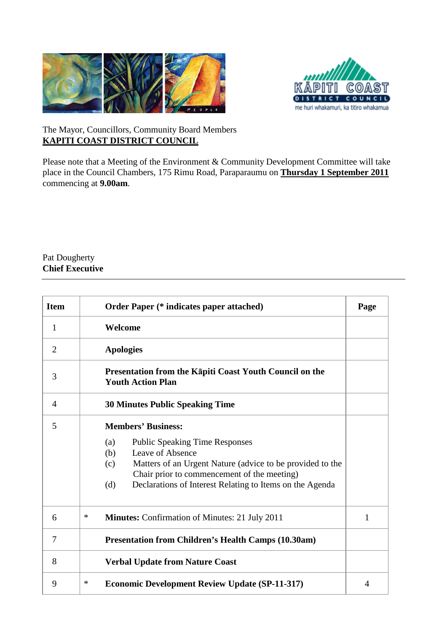



## The Mayor, Councillors, Community Board Members **KAPITI COAST DISTRICT COUNCIL**

Please note that a Meeting of the Environment & Community Development Committee will take place in the Council Chambers, 175 Rimu Road, Paraparaumu on *U***Thursday 1 September 2011** *<sup>U</sup>*commencing at **9.00am**.

## Pat Dougherty **Chief Executive**

| <b>Item</b>    | <b>Order Paper (* indicates paper attached)</b>                                                                                                                                                                                                                                            |              |  |  |  |
|----------------|--------------------------------------------------------------------------------------------------------------------------------------------------------------------------------------------------------------------------------------------------------------------------------------------|--------------|--|--|--|
| 1              | Welcome                                                                                                                                                                                                                                                                                    |              |  |  |  |
| $\overline{2}$ | <b>Apologies</b>                                                                                                                                                                                                                                                                           |              |  |  |  |
| 3              | <b>Presentation from the Kapiti Coast Youth Council on the</b><br><b>Youth Action Plan</b>                                                                                                                                                                                                 |              |  |  |  |
| 4              | <b>30 Minutes Public Speaking Time</b>                                                                                                                                                                                                                                                     |              |  |  |  |
| 5              | <b>Members' Business:</b><br><b>Public Speaking Time Responses</b><br>(a)<br>Leave of Absence<br>(b)<br>Matters of an Urgent Nature (advice to be provided to the<br>(c)<br>Chair prior to commencement of the meeting)<br>Declarations of Interest Relating to Items on the Agenda<br>(d) |              |  |  |  |
| 6              | ∗<br><b>Minutes:</b> Confirmation of Minutes: 21 July 2011                                                                                                                                                                                                                                 | $\mathbf{1}$ |  |  |  |
| 7              | <b>Presentation from Children's Health Camps (10.30am)</b>                                                                                                                                                                                                                                 |              |  |  |  |
| 8              | <b>Verbal Update from Nature Coast</b>                                                                                                                                                                                                                                                     |              |  |  |  |
| 9              | ∗<br><b>Economic Development Review Update (SP-11-317)</b>                                                                                                                                                                                                                                 |              |  |  |  |